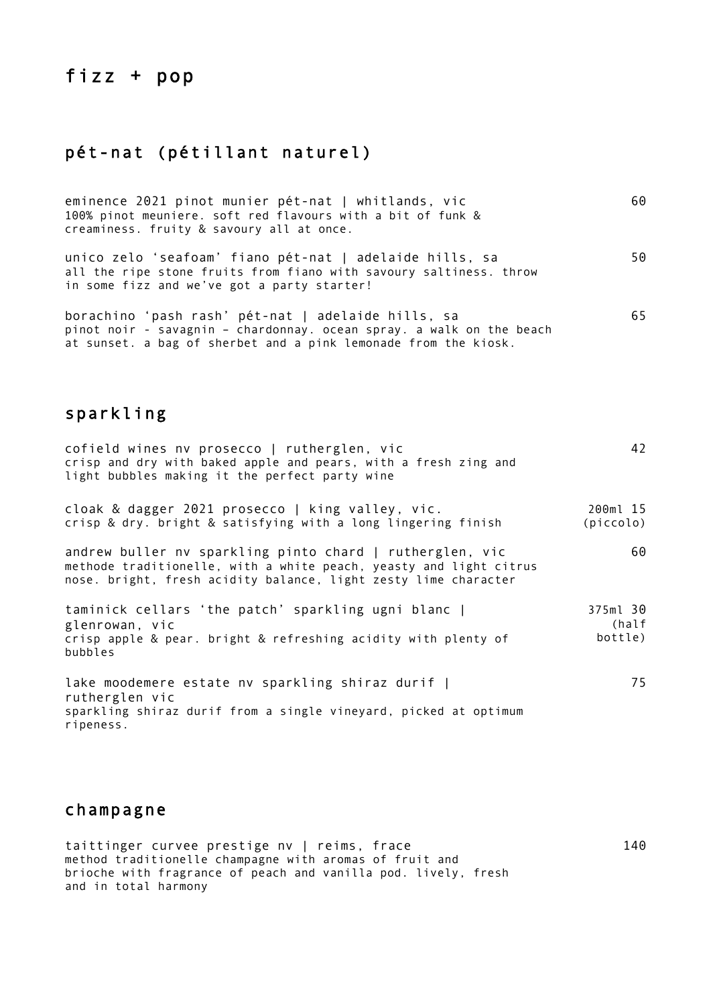# fizz + pop

#### pét-nat (pétillant naturel)

| eminence 2021 pinot munier pét-nat   whitlands, vic<br>100% pinot meuniere. soft red flavours with a bit of funk &<br>creaminess. fruity & savoury all at once.                               | 60 |
|-----------------------------------------------------------------------------------------------------------------------------------------------------------------------------------------------|----|
| unico zelo 'seafoam' fiano pét-nat   adelaide hills, sa<br>all the ripe stone fruits from fiano with savoury saltiness. throw<br>in some fizz and we've got a party starter!                  | 50 |
| borachino 'pash rash' pét-nat   adelaide hills, sa<br>pinot noir - savagnin - chardonnay. ocean spray. a walk on the beach<br>at sunset. a bag of sherbet and a pink lemonade from the kiosk. | 65 |

### sparkling

| cofield wines nv prosecco   rutherglen, vic<br>crisp and dry with baked apple and pears, with a fresh zing and<br>light bubbles making it the perfect party wine                                  | 42                           |
|---------------------------------------------------------------------------------------------------------------------------------------------------------------------------------------------------|------------------------------|
| cloak & dagger 2021 prosecco   king valley, vic.<br>crisp & dry. bright & satisfying with a long lingering finish                                                                                 | 200ml 15<br>(piccolo)        |
| andrew buller nv sparkling pinto chard   rutherglen, vic<br>methode traditionelle, with a white peach, yeasty and light citrus<br>nose. bright, fresh acidity balance, light zesty lime character | 60                           |
| taminick cellars 'the patch' sparkling ugni blanc  <br>glenrowan, vic<br>crisp apple & pear. bright & refreshing acidity with plenty of<br>bubbles                                                | 375ml 30<br>(half<br>bottle) |
| lake moodemere estate nv sparkling shiraz durif  <br>rutherglen vic<br>sparkling shiraz durif from a single vineyard, picked at optimum<br>ripeness.                                              | 75                           |

140

### champagne

taittinger curvee prestige nv | reims, frace method traditionelle champagne with aromas of fruit and brioche with fragrance of peach and vanilla pod. lively, fresh and in total harmony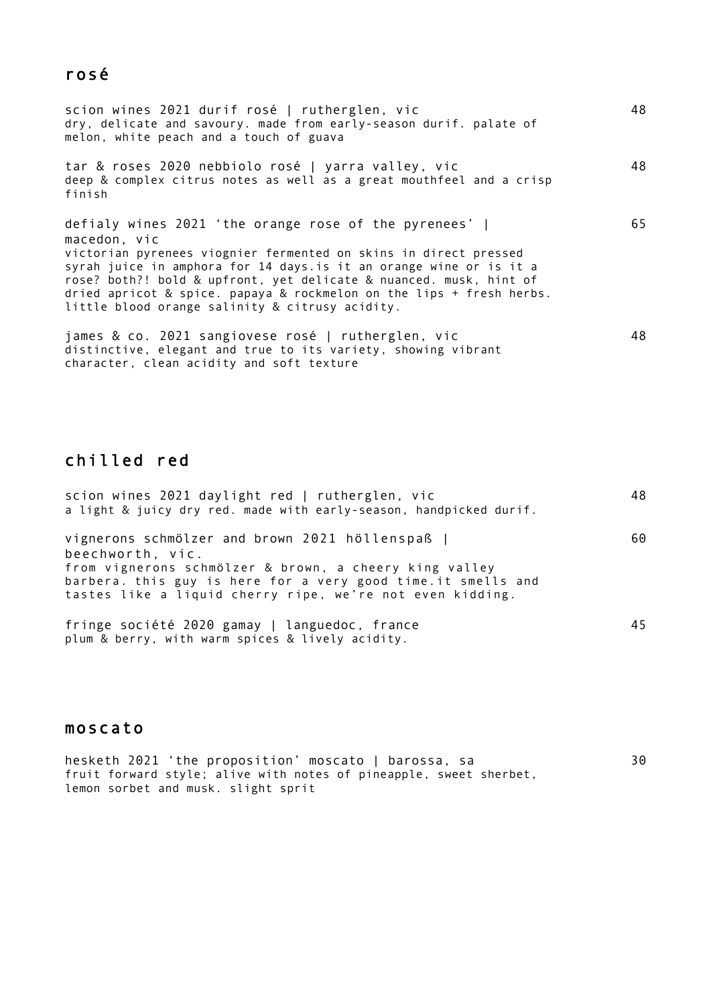### rosé

| scion wines 2021 durif rosé   rutherglen, vic<br>dry, delicate and savoury. made from early-season durif. palate of<br>melon, white peach and a touch of guava                                                                                                                                                                                                                                                           | 48 |
|--------------------------------------------------------------------------------------------------------------------------------------------------------------------------------------------------------------------------------------------------------------------------------------------------------------------------------------------------------------------------------------------------------------------------|----|
| tar & roses 2020 nebbiolo rosé   yarra valley, vic<br>deep & complex citrus notes as well as a great mouthfeel and a crisp<br>finish                                                                                                                                                                                                                                                                                     | 48 |
| defialy wines 2021 'the orange rose of the pyrenees'  <br>macedon, vic<br>victorian pyrenees viognier fermented on skins in direct pressed<br>syrah juice in amphora for 14 days. is it an orange wine or is it a<br>rose? both?! bold & upfront, yet delicate & nuanced. musk, hint of<br>dried apricot $\&$ spice. papaya $\&$ rockmelon on the lips + fresh herbs.<br>little blood orange salinity & citrusy acidity. | 65 |
| james & co. 2021 sangiovese rosé   rutherglen, vic<br>distinctive, elegant and true to its variety, showing vibrant<br>character, clean acidity and soft texture                                                                                                                                                                                                                                                         | 48 |

## chilled red

| scion wines 2021 daylight red   rutherglen, vic<br>a light & juicy dry red. made with early-season, handpicked durif.                                                                                                                                      | 48 |
|------------------------------------------------------------------------------------------------------------------------------------------------------------------------------------------------------------------------------------------------------------|----|
| vignerons schmölzer and brown 2021 höllenspaß  <br>beechworth, vic.<br>from vignerons schmölzer & brown, a cheery king valley<br>barbera. this guy is here for a very good time.it smells and<br>tastes like a liquid cherry ripe, we're not even kidding. | 60 |
| fringe société 2020 gamay   languedoc, france<br>plum & berry, with warm spices & lively acidity.                                                                                                                                                          | 45 |

#### moscato

hesketh 2021 'the proposition' moscato | barossa, sa fruit forward style; alive with notes of pineapple, sweet sherbet, lemon sorbet and musk. slight sprit 30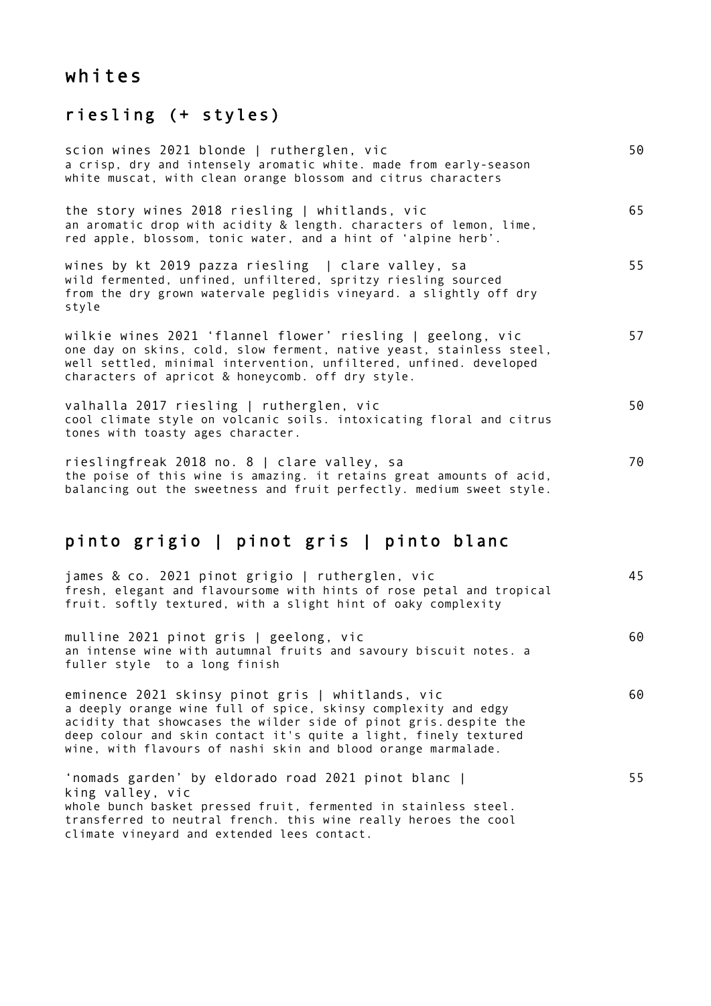# whites

#### riesling (+ styles)

| scion wines 2021 blonde   rutherglen, vic<br>a crisp, dry and intensely aromatic white. made from early-season<br>white muscat, with clean orange blossom and citrus characters                                                                               | 50 |
|---------------------------------------------------------------------------------------------------------------------------------------------------------------------------------------------------------------------------------------------------------------|----|
| the story wines 2018 riesling   whitlands, vic<br>an aromatic drop with acidity & length. characters of lemon, lime,<br>red apple, blossom, tonic water, and a hint of 'alpine herb'.                                                                         | 65 |
| wines by kt 2019 pazza riesling   clare valley, sa<br>wild fermented, unfined, unfiltered, spritzy riesling sourced<br>from the dry grown watervale peglidis vineyard. a slightly off dry<br>style                                                            | 55 |
| wilkie wines 2021 'flannel flower' riesling   geelong, vic<br>one day on skins, cold, slow ferment, native yeast, stainless steel,<br>well settled, minimal intervention, unfiltered, unfined. developed<br>characters of apricot & honeycomb. off dry style. | 57 |
| valhalla 2017 riesling   rutherglen, vic<br>cool climate style on volcanic soils. intoxicating floral and citrus<br>tones with toasty ages character.                                                                                                         | 50 |
| rieslingfreak 2018 no. 8   clare valley, sa<br>the poise of this wine is amazing. it retains great amounts of acid,<br>balancing out the sweetness and fruit perfectly. medium sweet style.                                                                   | 70 |

#### pinto grigio | pinot gris | pinto blanc

| james & co. 2021 pinot grigio   rutherglen, vic<br>fresh, elegant and flavoursome with hints of rose petal and tropical<br>fruit. softly textured, with a slight hint of oaky complexity                                                                                                                                     | 45 |
|------------------------------------------------------------------------------------------------------------------------------------------------------------------------------------------------------------------------------------------------------------------------------------------------------------------------------|----|
| mulline 2021 pinot gris   geelong, vic<br>an intense wine with autumnal fruits and savoury biscuit notes. a<br>fuller style to a long finish                                                                                                                                                                                 | 60 |
| eminence 2021 skinsy pinot gris   whitlands, vic<br>a deeply orange wine full of spice, skinsy complexity and edgy<br>acidity that showcases the wilder side of pinot gris. despite the<br>deep colour and skin contact it's quite a light, finely textured<br>wine, with flavours of nashi skin and blood orange marmalade. | 60 |
| 'nomads garden' by eldorado road 2021 pinot blanc  <br>king valley, vic<br>whole bunch basket pressed fruit, fermented in stainless steel.<br>transferred to neutral french. this wine really heroes the cool<br>climate vineyard and extended lees contact.                                                                 | 55 |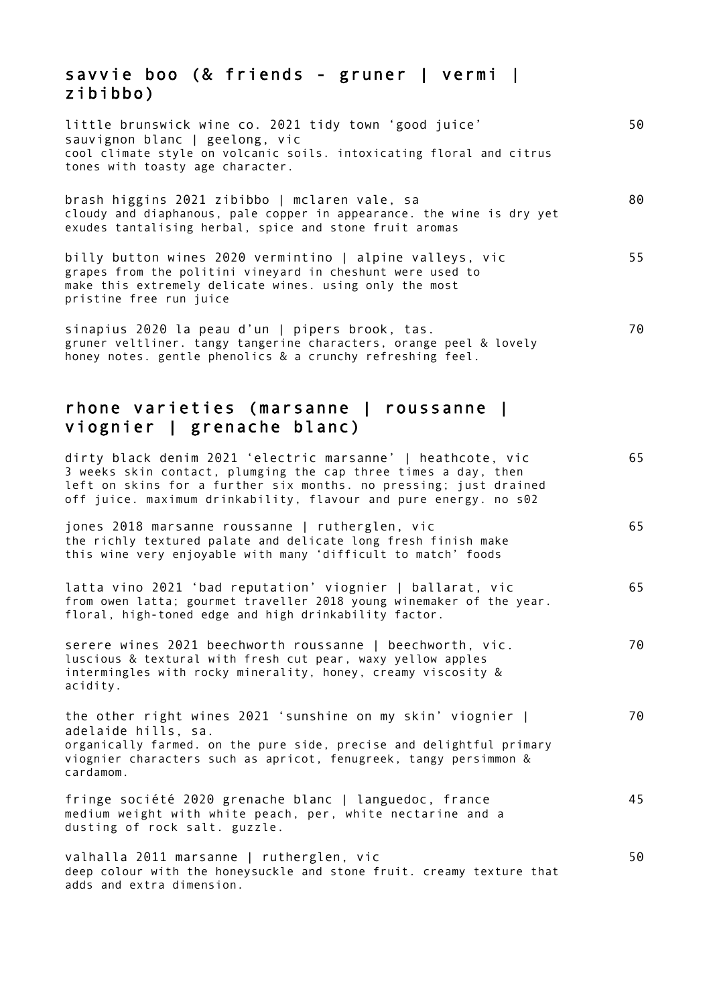#### savvie boo (& friends - gruner | vermi | zibibbo)

| little brunswick wine co. 2021 tidy town 'good juice'<br>sauvignon blanc   geelong, vic<br>cool climate style on volcanic soils. intoxicating floral and citrus<br>tones with toasty age character.                                                                    | 50 |
|------------------------------------------------------------------------------------------------------------------------------------------------------------------------------------------------------------------------------------------------------------------------|----|
| brash higgins 2021 zibibbo   mclaren vale, sa<br>cloudy and diaphanous, pale copper in appearance. the wine is dry yet<br>exudes tantalising herbal, spice and stone fruit aromas                                                                                      | 80 |
| billy button wines 2020 vermintino   alpine valleys, vic<br>grapes from the politini vineyard in cheshunt were used to<br>make this extremely delicate wines. using only the most<br>pristine free run juice                                                           | 55 |
| sinapius 2020 la peau d'un   pipers brook, tas.<br>gruner veltliner. tangy tangerine characters, orange peel & lovely<br>honey notes. gentle phenolics & a crunchy refreshing feel.                                                                                    | 70 |
| rhone varieties (marsanne   roussanne  <br>viognier   grenache blanc)                                                                                                                                                                                                  |    |
| dirty black denim 2021 'electric marsanne'   heathcote, vic<br>3 weeks skin contact, plumging the cap three times a day, then<br>left on skins for a further six months. no pressing; just drained<br>off juice. maximum drinkability, flavour and pure energy. no s02 | 65 |
| iones 2018 marsanne roussanne I rutherglen, vic                                                                                                                                                                                                                        | 65 |

jones 2018 marsanne roussanne | rutherglen, vic the richly textured palate and delicate long fresh finish make this wine very enjoyable with many 'difficult to match' foods

| latta vino 2021 'bad reputation' viognier   ballarat, vic            | 65 |
|----------------------------------------------------------------------|----|
| from owen latta; gourmet traveller 2018 young winemaker of the year. |    |
| floral, high-toned edge and high drinkability factor.                |    |

serere wines 2021 beechworth roussanne | beechworth, vic. luscious & textural with fresh cut pear, waxy yellow apples intermingles with rocky minerality, honey, creamy viscosity & acidity. 70

the other right wines 2021 'sunshine on my skin' viognier | adelaide hills, sa. organically farmed. on the pure side, precise and delightful primary viognier characters such as apricot, fenugreek, tangy persimmon & cardamom. 70

fringe société 2020 grenache blanc | languedoc, france medium weight with white peach, per, white nectarine and a dusting of rock salt. guzzle. 45

50

valhalla 2011 marsanne | rutherglen, vic deep colour with the honeysuckle and stone fruit. creamy texture that adds and extra dimension.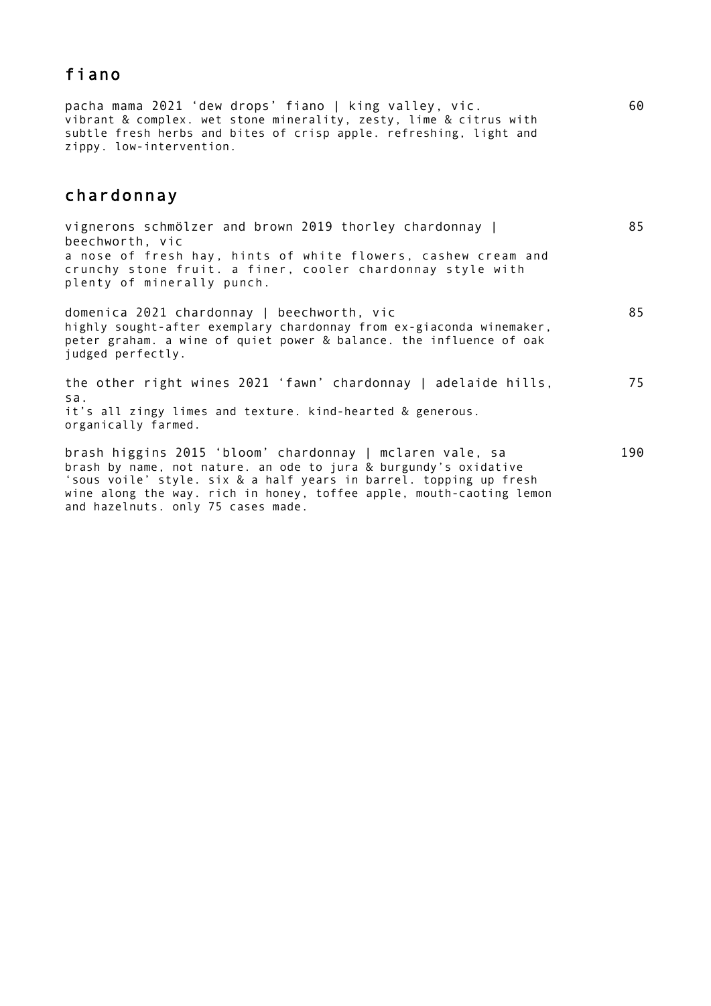### fiano

pacha mama 2021 'dew drops' fiano | king valley, vic. vibrant & complex. wet stone minerality, zesty, lime & citrus with subtle fresh herbs and bites of crisp apple. refreshing, light and zippy. low-intervention.

#### chardonnay

| vignerons schmölzer and brown 2019 thorley chardonnay  <br>beechworth, vic                                                                                                                                                                                                                                       | 85  |
|------------------------------------------------------------------------------------------------------------------------------------------------------------------------------------------------------------------------------------------------------------------------------------------------------------------|-----|
| a nose of fresh hay, hints of white flowers, cashew cream and<br>crunchy stone fruit. a finer, cooler chardonnay style with<br>plenty of minerally punch.                                                                                                                                                        |     |
| domenica 2021 chardonnay   beechworth, vic<br>highly sought-after exemplary chardonnay from ex-giaconda winemaker,<br>peter graham. a wine of quiet power & balance. the influence of oak<br>judged perfectly.                                                                                                   | 85  |
| the other right wines 2021 'fawn' chardonnay   adelaide hills,<br>sa.                                                                                                                                                                                                                                            | 75  |
| it's all zingy limes and texture. kind-hearted & generous.<br>organically farmed.                                                                                                                                                                                                                                |     |
| brash higgins 2015 'bloom' chardonnay   mclaren vale, sa<br>brash by name, not nature. an ode to jura & burgundy's oxidative<br>'sous voile' style. six & a half years in barrel. topping up fresh<br>wine along the way. rich in honey, toffee apple, mouth-caoting lemon<br>and hazelnuts. only 75 cases made. | 190 |

60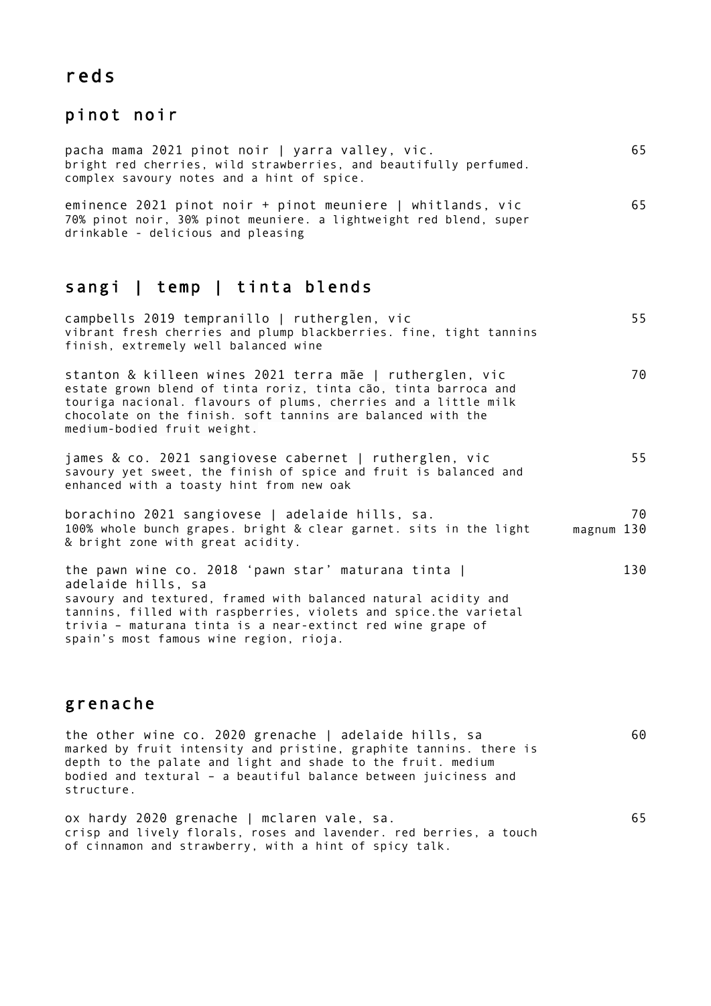## reds

# pinot noir

| pacha mama 2021 pinot noir   yarra valley, vic.<br>bright red cherries, wild strawberries, and beautifully perfumed.<br>complex savoury notes and a hint of spice.                                                                                                                                                        | 65               |
|---------------------------------------------------------------------------------------------------------------------------------------------------------------------------------------------------------------------------------------------------------------------------------------------------------------------------|------------------|
| eminence 2021 pinot noir + pinot meuniere   whitlands, vic<br>70% pinot noir, 30% pinot meuniere. a lightweight red blend, super<br>drinkable - delicious and pleasing                                                                                                                                                    | 65               |
| sangi   temp   tinta blends                                                                                                                                                                                                                                                                                               |                  |
| campbells 2019 tempranillo   rutherglen, vic<br>vibrant fresh cherries and plump blackberries. fine, tight tannins<br>finish, extremely well balanced wine                                                                                                                                                                | 55               |
| stanton & killeen wines 2021 terra mãe   rutherglen, vic<br>estate grown blend of tinta roriz, tinta cão, tinta barroca and<br>touriga nacional. flavours of plums, cherries and a little milk<br>chocolate on the finish. soft tannins are balanced with the<br>medium-bodied fruit weight.                              | 70               |
| james & co. 2021 sangiovese cabernet   rutherglen, vic<br>savoury yet sweet, the finish of spice and fruit is balanced and<br>enhanced with a toasty hint from new oak                                                                                                                                                    | 55               |
| borachino 2021 sangiovese   adelaide hills, sa.<br>100% whole bunch grapes. bright & clear garnet. sits in the light<br>& bright zone with great acidity.                                                                                                                                                                 | 70<br>magnum 130 |
| the pawn wine co. 2018 'pawn star' maturana tinta  <br>adelaide hills, sa<br>savoury and textured, framed with balanced natural acidity and<br>tannins, filled with raspberries, violets and spice.the varietal<br>trivia - maturana tinta is a near-extinct red wine grape of<br>spain's most famous wine region, rioja. | 130              |

## grenache

the other wine co. 2020 grenache | adelaide hills, sa marked by fruit intensity and pristine, graphite tannins. there is depth to the palate and light and shade to the fruit. medium bodied and textural – a beautiful balance between juiciness and structure. 60

65

ox hardy 2020 grenache | mclaren vale, sa. crisp and lively florals, roses and lavender. red berries, a touch of cinnamon and strawberry, with a hint of spicy talk.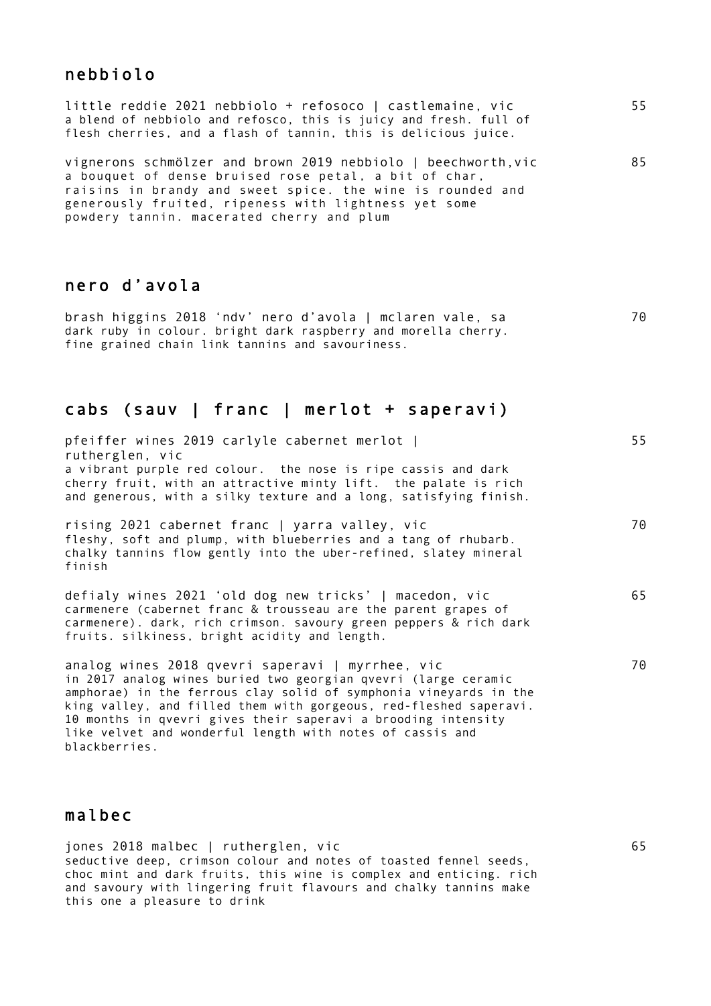#### nebbiolo

| little reddie 2021 nebbiolo + refosoco   castlemaine, vic         | 55 |
|-------------------------------------------------------------------|----|
| a blend of nebbiolo and refosco, this is juicy and fresh. full of |    |
| flesh cherries, and a flash of tannin, this is delicious juice.   |    |
|                                                                   |    |
| vignerons schmölzer and brown 2019 nebbiolo   beechworth, vic     | 85 |
| a bouguat of donce bruiced roce potal a bit of char               |    |

a bouquet of dense bruised rose petal, a bit of char, raisins in brandy and sweet spice. the wine is rounded and generously fruited, ripeness with lightness yet some powdery tannin. macerated cherry and plum

#### nero d'avola

brash higgins 2018 'ndv' nero d'avola | mclaren vale, sa dark ruby in colour. bright dark raspberry and morella cherry. fine grained chain link tannins and savouriness. 70

#### cabs (sauv | franc | merlot + saperavi)

pfeiffer wines 2019 carlyle cabernet merlot | rutherglen, vic a vibrant purple red colour. the nose is ripe cassis and dark cherry fruit, with an attractive minty lift. the palate is rich and generous, with a silky texture and a long, satisfying finish. 55

rising 2021 cabernet franc | yarra valley, vic fleshy, soft and plump, with blueberries and a tang of rhubarb. chalky tannins flow gently into the uber-refined, slatey mineral finish

defialy wines 2021 'old dog new tricks' | macedon, vic carmenere (cabernet franc & trousseau are the parent grapes of carmenere). dark, rich crimson. savoury green peppers & rich dark fruits. silkiness, bright acidity and length.

analog wines 2018 qvevri saperavi | myrrhee, vic in 2017 analog wines buried two georgian qvevri (large ceramic amphorae) in the ferrous clay solid of symphonia vineyards in the king valley, and filled them with gorgeous, red-fleshed saperavi. 10 months in qvevri gives their saperavi a brooding intensity like velvet and wonderful length with notes of cassis and blackberries.

#### malbec

jones 2018 malbec | rutherglen, vic seductive deep, crimson colour and notes of toasted fennel seeds, choc mint and dark fruits, this wine is complex and enticing. rich and savoury with lingering fruit flavours and chalky tannins make this one a pleasure to drink

70

65

70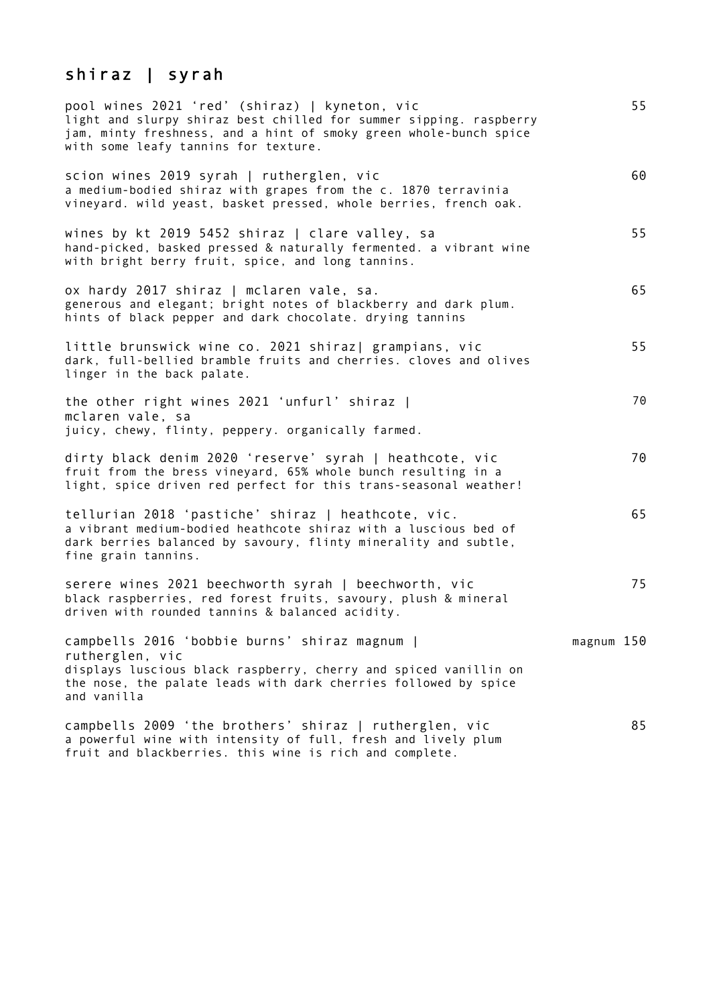# shiraz | syrah

| pool wines 2021 'red' (shiraz)   kyneton, vic<br>light and slurpy shiraz best chilled for summer sipping. raspberry<br>jam, minty freshness, and a hint of smoky green whole-bunch spice<br>with some leafy tannins for texture. | 55         |
|----------------------------------------------------------------------------------------------------------------------------------------------------------------------------------------------------------------------------------|------------|
| scion wines 2019 syrah   rutherglen, vic<br>a medium-bodied shiraz with grapes from the c. 1870 terravinia<br>vineyard. wild yeast, basket pressed, whole berries, french oak.                                                   | 60         |
| wines by kt 2019 5452 shiraz   clare valley, sa<br>hand-picked, basked pressed & naturally fermented. a vibrant wine<br>with bright berry fruit, spice, and long tannins.                                                        | 55         |
| ox hardy 2017 shiraz   mclaren vale, sa.<br>generous and elegant; bright notes of blackberry and dark plum.<br>hints of black pepper and dark chocolate. drying tannins                                                          | 65         |
| little brunswick wine co. 2021 shiraz  grampians, vic<br>dark, full-bellied bramble fruits and cherries. cloves and olives<br>linger in the back palate.                                                                         | 55         |
| the other right wines 2021 'unfurl' shiraz  <br>mclaren vale, sa<br>juicy, chewy, flinty, peppery. organically farmed.                                                                                                           | 70         |
| dirty black denim 2020 'reserve' syrah   heathcote, vic<br>fruit from the bress vineyard, 65% whole bunch resulting in a<br>light, spice driven red perfect for this trans-seasonal weather!                                     | 70         |
| tellurian 2018 'pastiche' shiraz   heathcote, vic.<br>a vibrant medium-bodied heathcote shiraz with a luscious bed of<br>dark berries balanced by savoury, flinty minerality and subtle,<br>fine grain tannins.                  | 65         |
| serere wines 2021 beechworth syrah   beechworth, vic<br>black raspberries, red forest fruits, savoury, plush & mineral<br>driven with rounded tannins & balanced acidity.                                                        | 75         |
| campbells 2016 'bobbie burns' shiraz magnum  <br>rutherglen, vic<br>displays luscious black raspberry, cherry and spiced vanillin on<br>the nose, the palate leads with dark cherries followed by spice<br>and vanilla           | magnum 150 |
| campbells 2009 'the brothers' shiraz   rutherglen, vic<br>a powerful wine with intensity of full, fresh and lively plum<br>fruit and blackberries. this wine is rich and complete.                                               | 85         |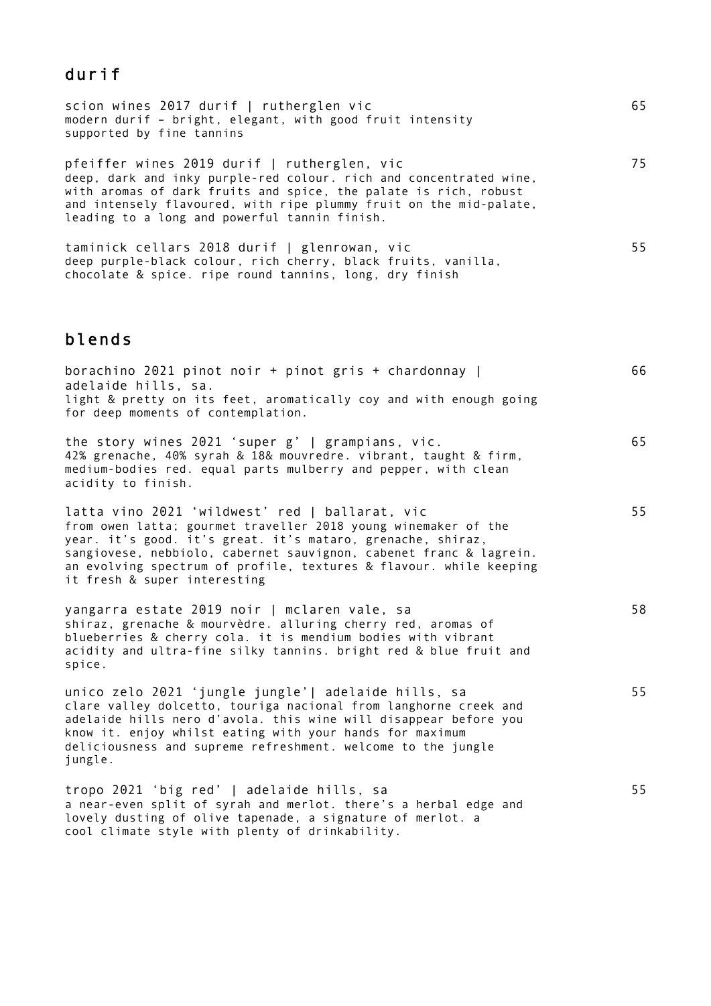## durif

| scion wines 2017 durif   rutherglen vic<br>modern durif - bright, elegant, with good fruit intensity<br>supported by fine tannins                                                                                                                                                                            | 65 |
|--------------------------------------------------------------------------------------------------------------------------------------------------------------------------------------------------------------------------------------------------------------------------------------------------------------|----|
| pfeiffer wines 2019 durif   rutherglen, vic<br>deep, dark and inky purple-red colour. rich and concentrated wine,<br>with aromas of dark fruits and spice, the palate is rich, robust<br>and intensely flavoured, with ripe plummy fruit on the mid-palate,<br>leading to a long and powerful tannin finish. | 75 |
| taminick cellars 2018 durif   glenrowan, vic<br>deep purple-black colour, rich cherry, black fruits, vanilla,                                                                                                                                                                                                | 55 |

chocolate & spice. ripe round tannins, long, dry finish

## blends

| borachino 2021 pinot noir + pinot gris + chardonnay  <br>adelaide hills, sa.<br>light & pretty on its feet, aromatically coy and with enough going<br>for deep moments of contemplation.                                                                                                                                                                    | 66 |
|-------------------------------------------------------------------------------------------------------------------------------------------------------------------------------------------------------------------------------------------------------------------------------------------------------------------------------------------------------------|----|
| the story wines 2021 'super g'   grampians, vic.<br>42% grenache, 40% syrah & 18& mouvredre. vibrant, taught & firm,<br>medium-bodies red. equal parts mulberry and pepper, with clean<br>acidity to finish.                                                                                                                                                | 65 |
| latta vino 2021 'wildwest' red   ballarat, vic<br>from owen latta; gourmet traveller 2018 young winemaker of the<br>year. it's good. it's great. it's mataro, grenache, shiraz,<br>sangiovese, nebbiolo, cabernet sauvignon, cabenet franc & lagrein.<br>an evolving spectrum of profile, textures & flavour. while keeping<br>it fresh & super interesting | 55 |
| yangarra estate 2019 noir   mclaren vale, sa<br>shiraz, grenache & mourvèdre. alluring cherry red, aromas of<br>blueberries & cherry cola. it is mendium bodies with vibrant<br>acidity and ultra-fine silky tannins. bright red & blue fruit and<br>spice.                                                                                                 | 58 |
| unico zelo 2021 'jungle jungle'  adelaide hills, sa<br>clare valley dolcetto, touriga nacional from langhorne creek and<br>adelaide hills nero d'avola. this wine will disappear before you<br>know it. enjoy whilst eating with your hands for maximum<br>deliciousness and supreme refreshment. welcome to the jungle<br>jungle.                          | 55 |
| tropo 2021 'big red'   adelaide hills, sa<br>a near-even split of syrah and merlot. there's a herbal edge and<br>lovely dusting of olive tapenade, a signature of merlot. a<br>cool climate style with plenty of drinkability.                                                                                                                              | 55 |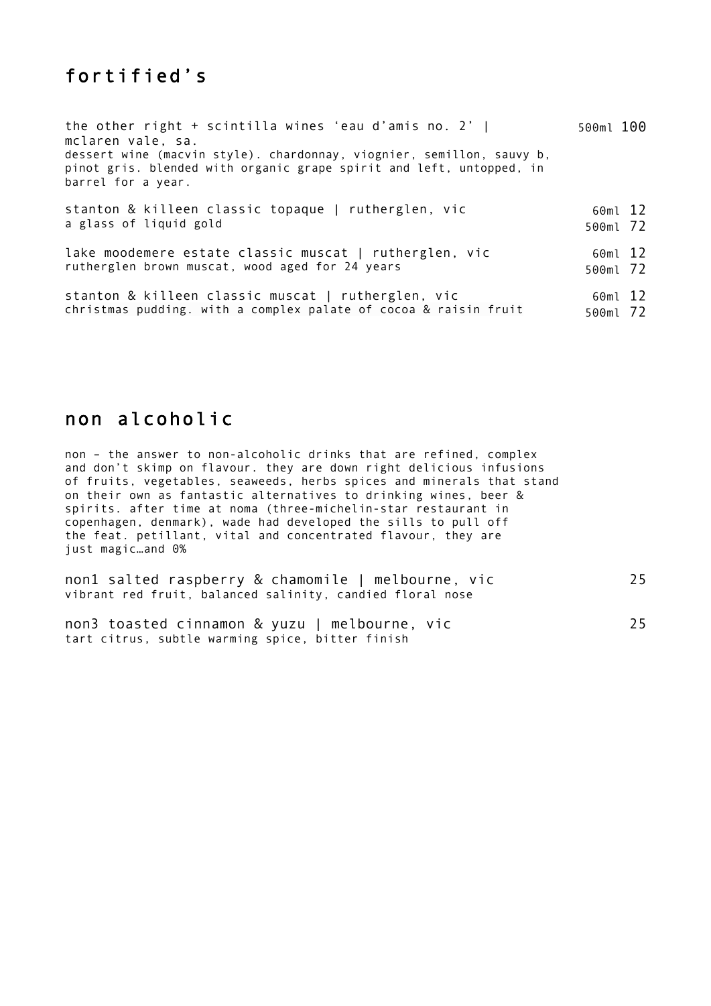# fortified's

| the other right + scintilla wines 'eau d'amis no. $2'$  <br>mclaren vale, sa.                                                                                       | 500ml 100           |  |
|---------------------------------------------------------------------------------------------------------------------------------------------------------------------|---------------------|--|
| dessert wine (macvin style). chardonnay, viognier, semillon, sauvy b,<br>pinot gris. blended with organic grape spirit and left, untopped, in<br>barrel for a year. |                     |  |
| stanton & killeen classic topaque   rutherglen, vic<br>a glass of liquid gold                                                                                       | 60ml 12<br>500ml 72 |  |
| lake moodemere estate classic muscat   rutherglen, vic<br>rutherglen brown muscat, wood aged for 24 years                                                           | 60ml 12<br>500ml 72 |  |
| stanton & killeen classic muscat   rutherglen, vic<br>christmas pudding. with a complex palate of cocoa & raisin fruit                                              | 60ml 12<br>500ml 72 |  |

## non alcoholic

non – the answer to non-alcoholic drinks that are refined, complex and don't skimp on flavour. they are down right delicious infusions of fruits, vegetables, seaweeds, herbs spices and minerals that stand on their own as fantastic alternatives to drinking wines, beer & spirits. after time at noma (three-michelin-star restaurant in copenhagen, denmark), wade had developed the sills to pull off the feat. petillant, vital and concentrated flavour, they are just magic…and 0%

| non1 salted raspberry & chamomile   melbourne, vic        | 25 |
|-----------------------------------------------------------|----|
| vibrant red fruit, balanced salinity, candied floral nose |    |
|                                                           |    |

|  |  | non3 toasted cinnamon & yuzu   melbourne, vic    |  | 25 |
|--|--|--------------------------------------------------|--|----|
|  |  | tart citrus, subtle warming spice, bitter finish |  |    |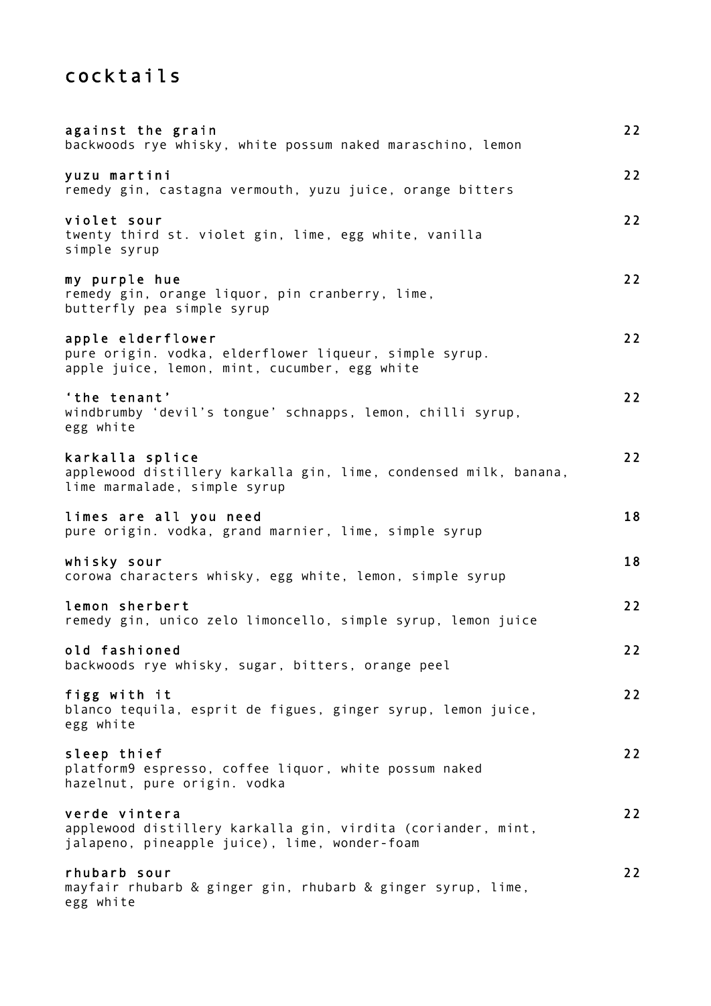# cocktails

| against the grain<br>backwoods rye whisky, white possum naked maraschino, lemon                                                | 22 |
|--------------------------------------------------------------------------------------------------------------------------------|----|
| yuzu martini<br>remedy gin, castagna vermouth, yuzu juice, orange bitters                                                      | 22 |
| violet sour<br>twenty third st. violet gin, lime, egg white, vanilla<br>simple syrup                                           | 22 |
| my purple hue<br>remedy gin, orange liquor, pin cranberry, lime,<br>butterfly pea simple syrup                                 | 22 |
| apple elderflower<br>pure origin. vodka, elderflower liqueur, simple syrup.<br>apple juice, lemon, mint, cucumber, egg white   | 22 |
| 'the tenant'<br>windbrumby 'devil's tongue' schnapps, lemon, chilli syrup,<br>egg white                                        | 22 |
| karkalla splice<br>applewood distillery karkalla gin, lime, condensed milk, banana,<br>lime marmalade, simple syrup            | 22 |
| limes are all you need<br>pure origin. vodka, grand marnier, lime, simple syrup                                                | 18 |
| whisky sour<br>corowa characters whisky, egg white, lemon, simple syrup                                                        | 18 |
| lemon sherbert<br>remedy gin, unico zelo limoncello, simple syrup, lemon juice                                                 | 22 |
| old fashioned<br>backwoods rye whisky, sugar, bitters, orange peel                                                             | 22 |
| figg with it<br>blanco tequila, esprit de figues, ginger syrup, lemon juice,<br>egg white                                      | 22 |
| sleep thief<br>platform9 espresso, coffee liquor, white possum naked<br>hazelnut, pure origin. vodka                           | 22 |
| verde vintera<br>applewood distillery karkalla gin, virdita (coriander, mint,<br>jalapeno, pineapple juice), lime, wonder-foam | 22 |
| rhubarb sour<br>mayfair rhubarb & ginger gin, rhubarb & ginger syrup, lime,<br>egg white                                       | 22 |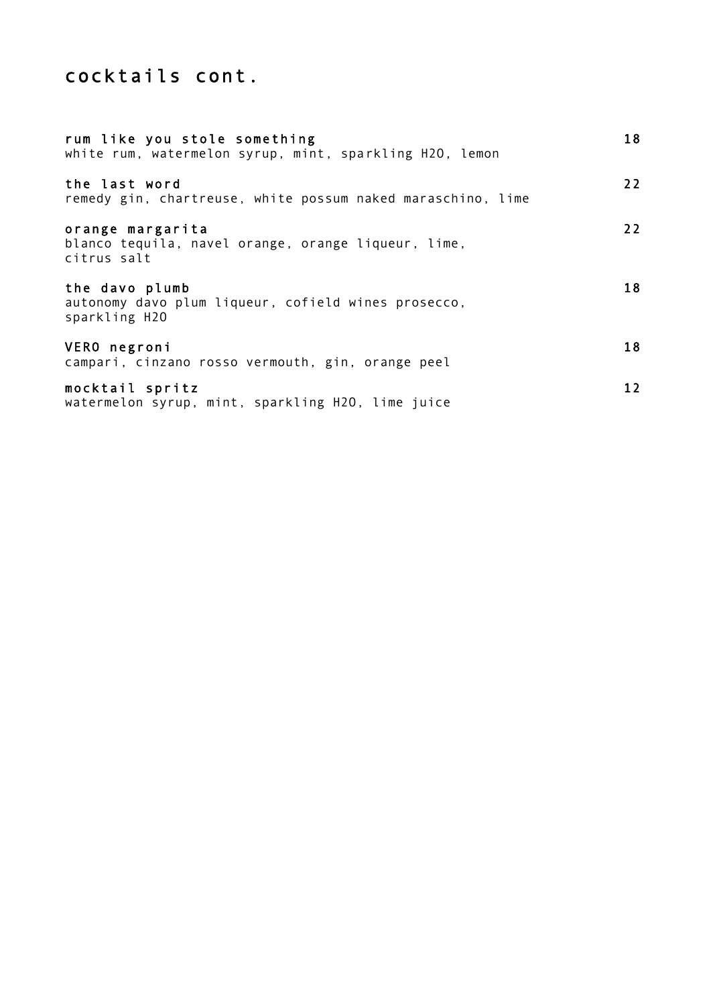# cocktails cont.

| rum like you stole something<br>white rum, watermelon syrup, mint, sparkling H2O, lemon | 18 |
|-----------------------------------------------------------------------------------------|----|
| the last word<br>remedy gin, chartreuse, white possum naked maraschino, lime            | 22 |
| orange margarita<br>blanco tequila, navel orange, orange liqueur, lime,<br>citrus salt  | 22 |
| the davo plumb<br>autonomy davo plum liqueur, cofield wines prosecco,<br>sparkling H2O  | 18 |
| VERO negroni<br>campari, cinzano rosso vermouth, gin, orange peel                       | 18 |
| mocktail spritz<br>watermelon syrup, mint, sparkling H2O, lime juice                    | 12 |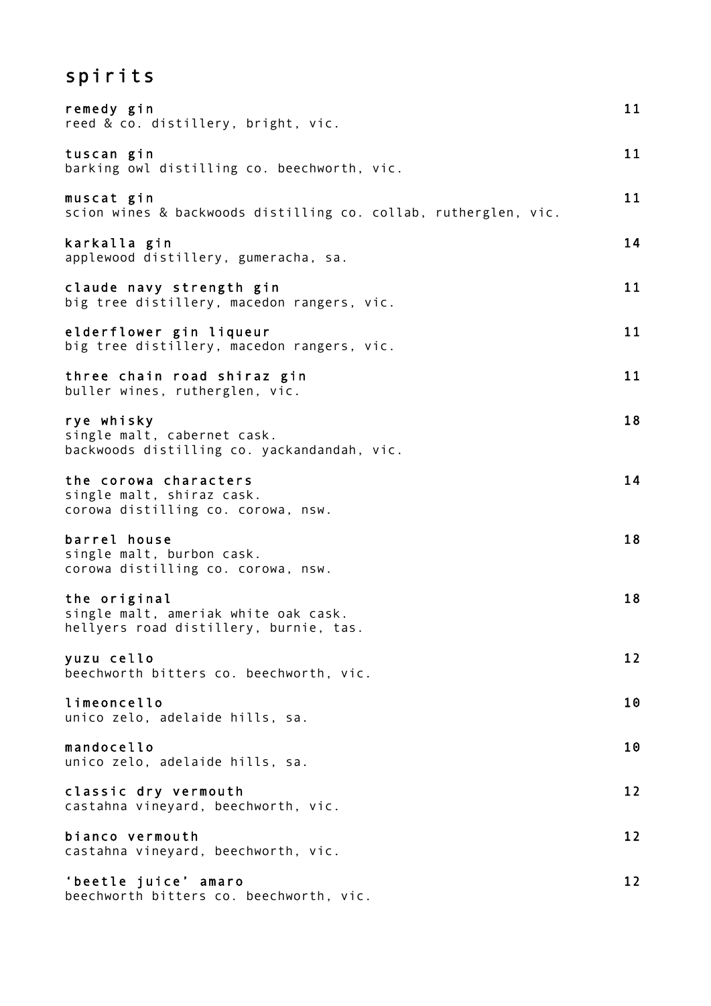# spirits

| remedy gin<br>reed & co. distillery, bright, vic.                                              | 11 |
|------------------------------------------------------------------------------------------------|----|
| tuscan gin<br>barking owl distilling co. beechworth, vic.                                      | 11 |
| muscat gin<br>scion wines & backwoods distilling co. collab, rutherglen, vic.                  | 11 |
| karkalla gin<br>applewood distillery, gumeracha, sa.                                           | 14 |
| claude navy strength gin<br>big tree distillery, macedon rangers, vic.                         | 11 |
| elderflower gin liqueur<br>big tree distillery, macedon rangers, vic.                          | 11 |
| three chain road shiraz gin<br>buller wines, rutherglen, vic.                                  | 11 |
| rye whisky<br>single malt, cabernet cask.<br>backwoods distilling co. yackandandah, vic.       | 18 |
| the corowa characters<br>single malt, shiraz cask.<br>corowa distilling co. corowa, nsw.       | 14 |
| barrel house<br>single malt, burbon cask.<br>corowa distilling co. corowa, nsw.                | 18 |
| the original<br>single malt, ameriak white oak cask.<br>hellyers road distillery, burnie, tas. | 18 |
| yuzu cello<br>beechworth bitters co. beechworth, vic.                                          | 12 |
| limeoncello<br>unico zelo, adelaide hills, sa.                                                 | 10 |
| mandocello<br>unico zelo, adelaide hills, sa.                                                  | 10 |
| classic dry vermouth<br>castahna vineyard, beechworth, vic.                                    | 12 |
| bianco vermouth<br>castahna vineyard, beechworth, vic.                                         | 12 |
| 'beetle juice' amaro<br>beechworth bitters co. beechworth, vic.                                | 12 |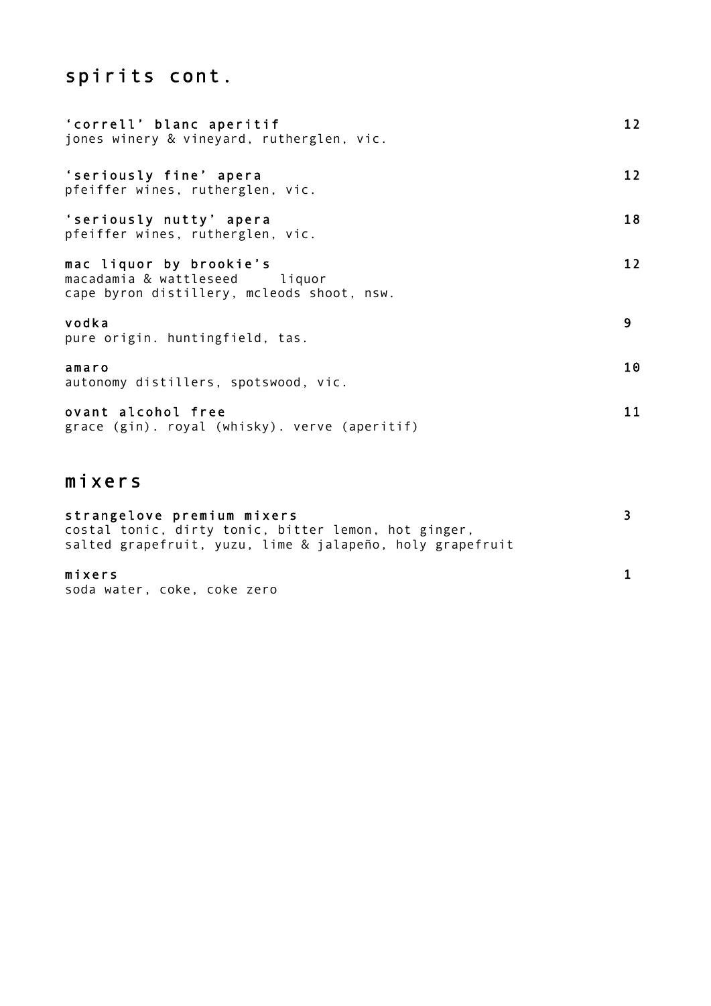# spirits cont.

| 'correll' blanc aperitif<br>jones winery & vineyard, rutherglen, vic.                                  | 12 <sub>2</sub> |
|--------------------------------------------------------------------------------------------------------|-----------------|
| 'seriously fine' apera<br>pfeiffer wines, rutherglen, vic.                                             | 12              |
| 'seriously nutty' apera<br>pfeiffer wines, rutherglen, vic.                                            | 18              |
| mac liquor by brookie's<br>macadamia & wattleseed liquor<br>cape byron distillery, mcleods shoot, nsw. | 12 <sub>2</sub> |
| vodka<br>pure origin. huntingfield, tas.                                                               | 9               |
| amaro<br>autonomy distillers, spotswood, vic.                                                          | 10              |
| ovant alcohol free<br>grace (gin). royal (whisky). verve (aperitif)                                    | 11              |

# mixers

| strangelove premium mixers                                |  |
|-----------------------------------------------------------|--|
| costal tonic, dirty tonic, bitter lemon, hot ginger,      |  |
| salted grapefruit, yuzu, lime & jalapeño, holy grapefruit |  |
|                                                           |  |
| mixers                                                    |  |
| soda water, coke, coke zero                               |  |